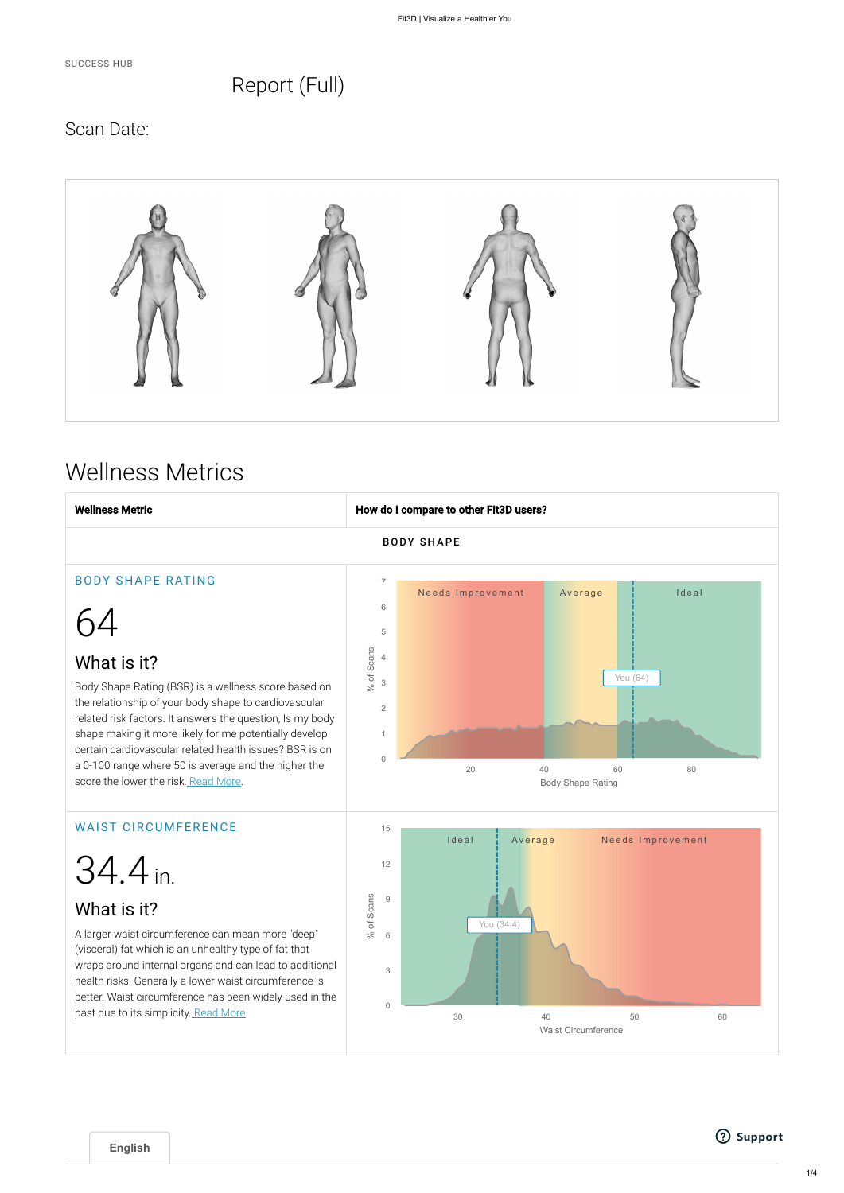SUCCESS HUB

## Report (Full)

## Scan Date:



# Wellness Metrics

A larger waist circumference can mean more "deep" (visceral) fat which is an unhealthy type of fat that wraps around internal organs and can lead to additional health risks. Generally a lower waist circumference is better. Waist circumference has been widely used in the past due to its simplicity. Read More.

## What is it?







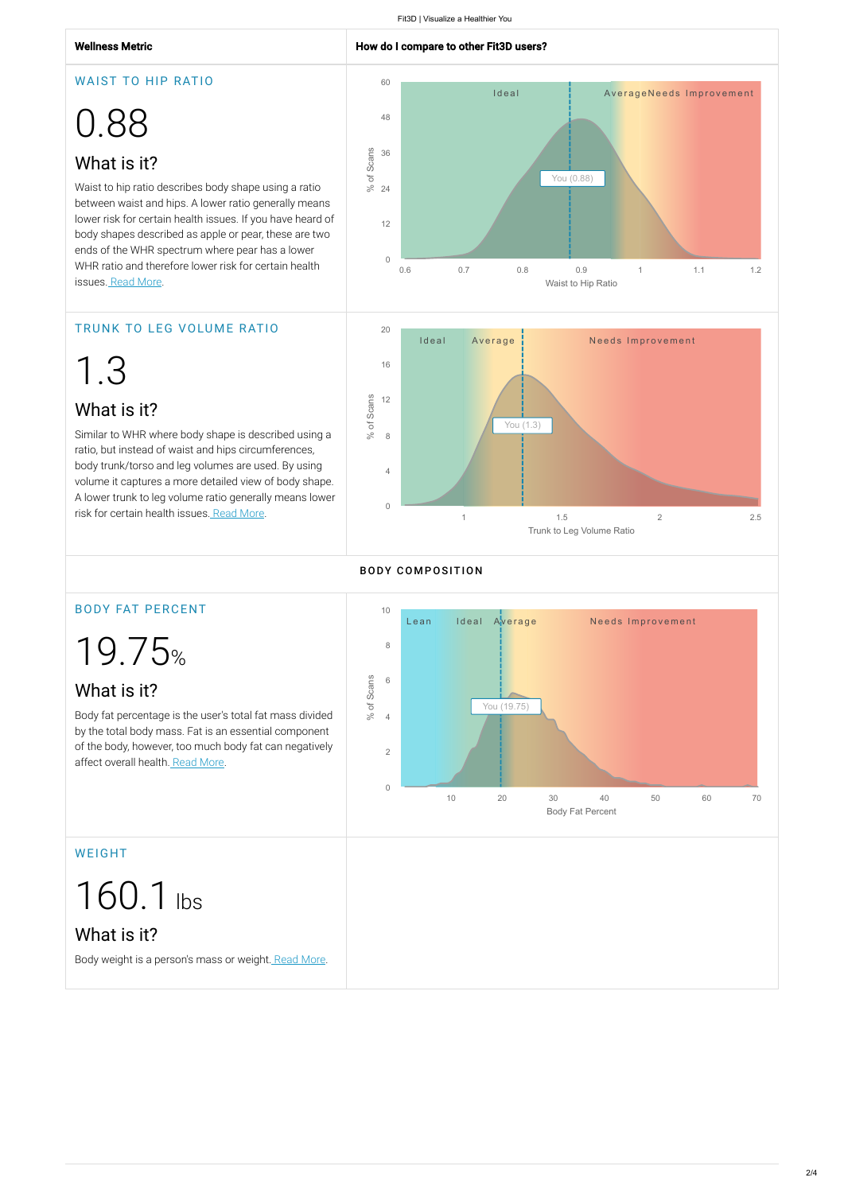#### Wellness Metric **How do I compare to other Fit3D users?**

Waist to hip ratio describes body shape using a ratio between waist and hips. A lower ratio generally means lower risk for certain health issues. If you have heard of body shapes described as apple or pear, these are two ends of the WHR spectrum where pear has a lower WHR ratio and therefore lower risk for certain health issues. Read More.

#### WAIST TO HIP RATIO

# 0.88

## What is it?

Body fat percentage is the user's total fat mass divided by the total body mass. Fat is an essential component of the body, however, too much body fat can negatively affect overall health. Read More.

### TRUNK TO LEG VOLUME RATIO

1.3

## What is it?

Similar to WHR where body shape is described using a ratio, but instead of waist and hips circumferences, body trunk/torso and leg volumes are used. By using volume it captures a more detailed view of body shape. A lower trunk to leg volume ratio generally means lower risk for certain health issues. Read More.

### BODY FAT PERCENT

19.75%

## What is it?

#### WEIGHT

160.1 lbs

## What is it?

Body weight is a person's mass or weight. Read More.





#### **BODY COMPOSITION**

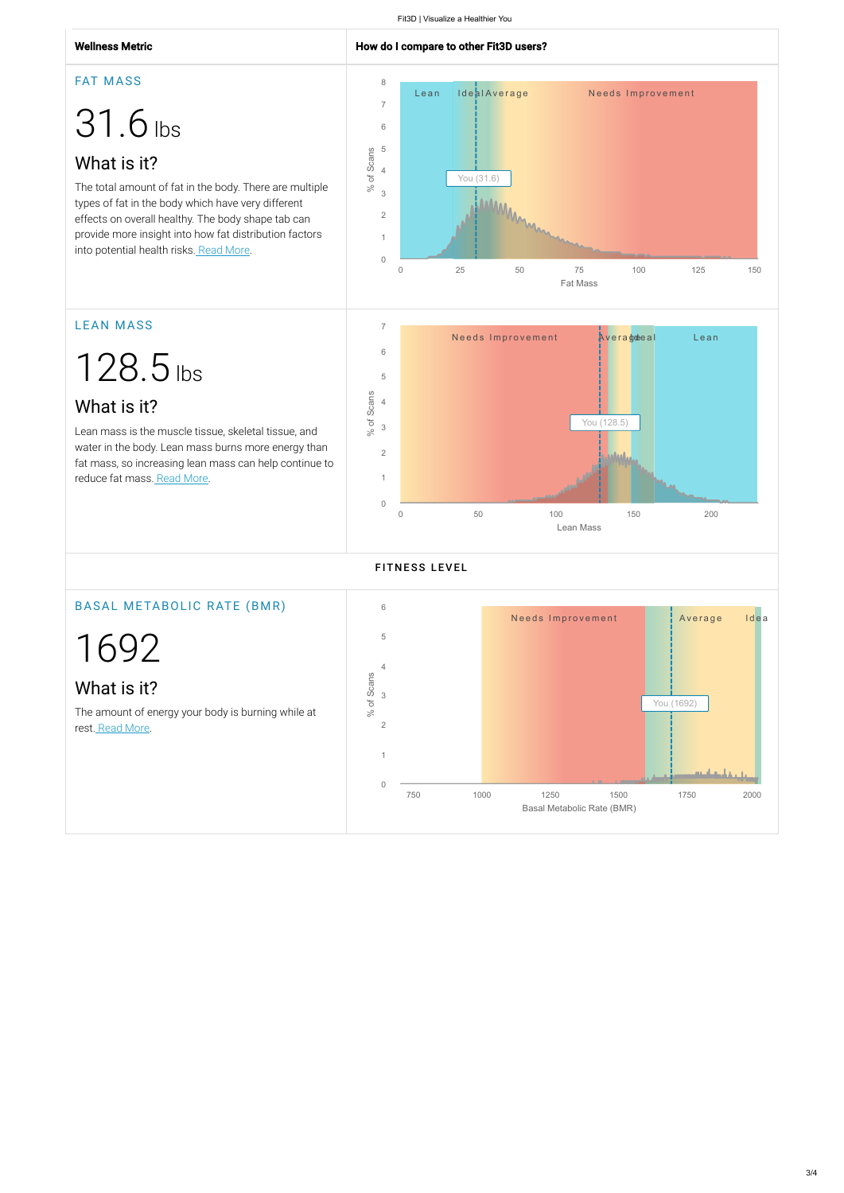FAT MASS

# 31.6 lbs

## What is it?

Lean mass is the muscle tissue, skeletal tissue, and water in the body. Lean mass burns more energy than fat mass, so increasing lean mass can help continue to reduce fat mass. Read More.

The total amount of fat in the body. There are multiple types of fat in the body which have very different effects on overall healthy. The body shape tab can provide more insight into how fat distribution factors into potential health risks. Read More.

The amount of energy your body is burning while at rest. Read More.

## LEAN MASS

128.5 lbs

## What is it?



## BASAL METABOLIC RATE (BMR)

1692

What is it?



#### **FITNESS LEVEL**



 $3/4$